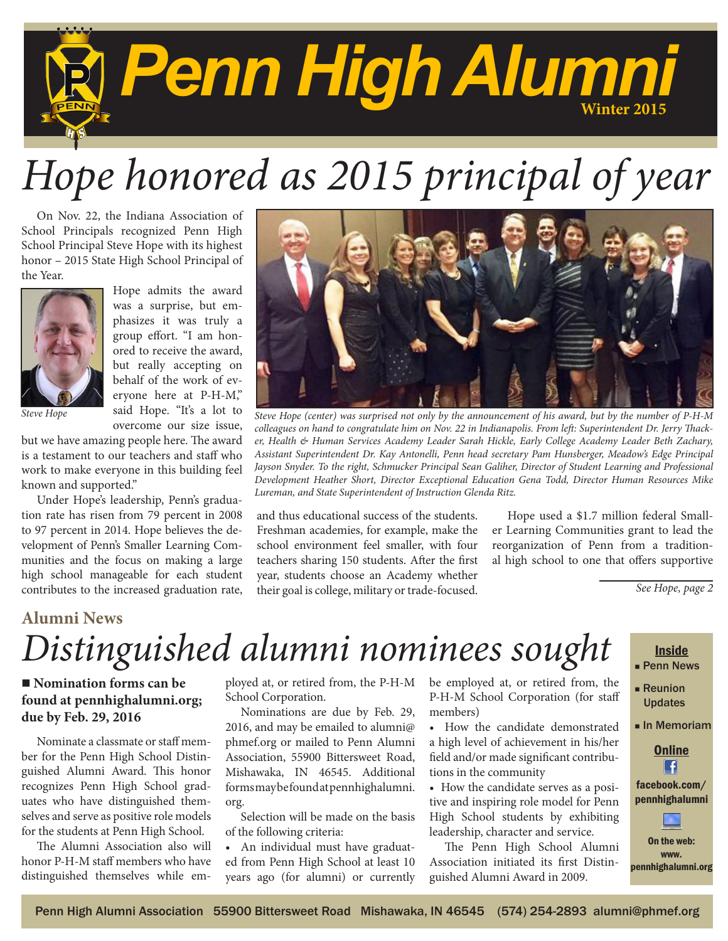

# *Hope honored as 2015 principal of year*

On Nov. 22, the Indiana Association of School Principals recognized Penn High School Principal Steve Hope with its highest honor – 2015 State High School Principal of the Year.



Hope admits the award was a surprise, but emphasizes it was truly a group effort. "I am honored to receive the award, but really accepting on behalf of the work of everyone here at P-H-M," said Hope. "It's a lot to overcome our size issue,

*Steve Hope*

but we have amazing people here. The award is a testament to our teachers and staff who work to make everyone in this building feel known and supported."

Under Hope's leadership, Penn's graduation rate has risen from 79 percent in 2008 to 97 percent in 2014. Hope believes the development of Penn's Smaller Learning Communities and the focus on making a large high school manageable for each student contributes to the increased graduation rate,



*Steve Hope (center) was surprised not only by the announcement of his award, but by the number of P-H-M colleagues on hand to congratulate him on Nov. 22 in Indianapolis. From left: Superintendent Dr. Jerry Thacker, Health & Human Services Academy Leader Sarah Hickle, Early College Academy Leader Beth Zachary, Assistant Superintendent Dr. Kay Antonelli, Penn head secretary Pam Hunsberger, Meadow's Edge Principal Jayson Snyder. To the right, Schmucker Principal Sean Galiher, Director of Student Learning and Professional Development Heather Short, Director Exceptional Education Gena Todd, Director Human Resources Mike Lureman, and State Superintendent of Instruction Glenda Ritz.*

and thus educational success of the students. Freshman academies, for example, make the school environment feel smaller, with four teachers sharing 150 students. After the first year, students choose an Academy whether their goal is college, military or trade-focused.

Hope used a \$1.7 million federal Smaller Learning Communities grant to lead the reorganization of Penn from a traditional high school to one that offers supportive

*See Hope, page 2*

#### **Alumni News**

## *Distinguished alumni nominees sought*

#### ■ **Nomination forms can be found at pennhighalumni.org; due by Feb. 29, 2016**

Nominate a classmate or staff member for the Penn High School Distinguished Alumni Award. This honor recognizes Penn High School graduates who have distinguished themselves and serve as positive role models for the students at Penn High School.

The Alumni Association also will honor P-H-M staff members who have distinguished themselves while employed at, or retired from, the P-H-M School Corporation.

Nominations are due by Feb. 29, 2016, and may be emailed to alumni@ phmef.org or mailed to Penn Alumni Association, 55900 Bittersweet Road, Mishawaka, IN 46545. Additional forms may be found at pennhighalumni. org.

Selection will be made on the basis of the following criteria:

An individual must have graduated from Penn High School at least 10 years ago (for alumni) or currently be employed at, or retired from, the P-H-M School Corporation (for staff members)

• How the candidate demonstrated a high level of achievement in his/her field and/or made significant contributions in the community

• How the candidate serves as a positive and inspiring role model for Penn High School students by exhibiting leadership, character and service.

The Penn High School Alumni Association initiated its first Distinguished Alumni Award in 2009.

#### **Inside Penn News**

- **Reunion** Updates
- <sup>n</sup> In Memoriam

#### **Online**  $\left| \right|$ facebook.com/

On the web:

pennhighalumni

www. pennhighalumni.org